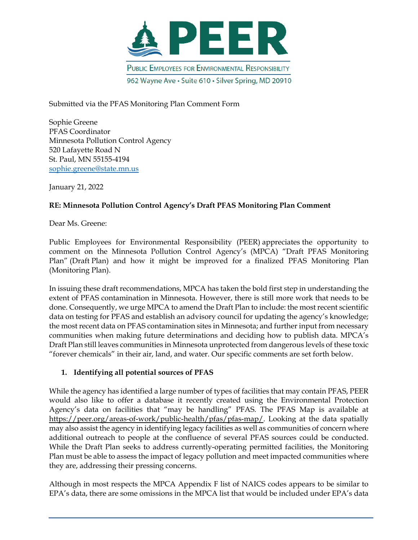

Submitted via the PFAS Monitoring Plan Comment Form

Sophie Greene PFAS Coordinator Minnesota Pollution Control Agency 520 Lafayette Road N St. Paul, MN 55155-4194 [sophie.greene@state.mn.us](mailto:sophie.greene@state.mn.us)

January 21, 2022

### **RE: Minnesota Pollution Control Agency's Draft PFAS Monitoring Plan Comment**

Dear Ms. Greene:

Public Employees for Environmental Responsibility (PEER) appreciates the opportunity to comment on the Minnesota Pollution Control Agency's (MPCA) "Draft PFAS Monitoring Plan" (Draft Plan) and how it might be improved for a finalized PFAS Monitoring Plan (Monitoring Plan).

In issuing these draft recommendations, MPCA has taken the bold first step in understanding the extent of PFAS contamination in Minnesota. However, there is still more work that needs to be done. Consequently, we urge MPCA to amend the Draft Plan to include: the most recent scientific data on testing for PFAS and establish an advisory council for updating the agency's knowledge; the most recent data on PFAS contamination sites in Minnesota; and further input from necessary communities when making future determinations and deciding how to publish data. MPCA's Draft Plan still leaves communities in Minnesota unprotected from dangerous levels of these toxic "forever chemicals" in their air, land, and water. Our specific comments are set forth below.

#### **1. Identifying all potential sources of PFAS**

While the agency has identified a large number of types of facilities that may contain PFAS, PEER would also like to offer a database it recently created using the Environmental Protection Agency's data on facilities that "may be handling" PFAS. The PFAS Map is available at [https://peer.org/areas-of-work/public-health/pfas/pfas-map/.](https://peer.org/areas-of-work/public-health/pfas/pfas-map/) Looking at the data spatially may also assist the agency in identifying legacy facilities as well as communities of concern where additional outreach to people at the confluence of several PFAS sources could be conducted. While the Draft Plan seeks to address currently-operating permitted facilities, the Monitoring Plan must be able to assess the impact of legacy pollution and meet impacted communities where they are, addressing their pressing concerns.

Although in most respects the MPCA Appendix F list of NAICS codes appears to be similar to EPA's data, there are some omissions in the MPCA list that would be included under EPA's data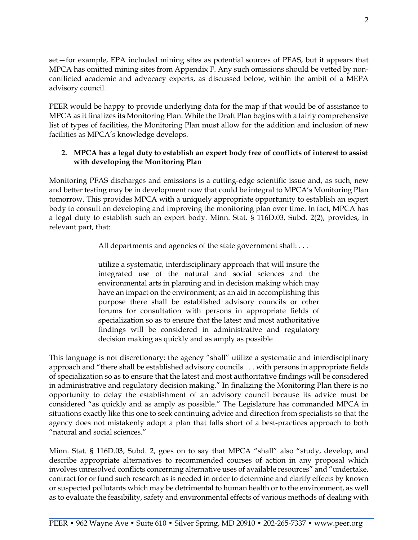set—for example, EPA included mining sites as potential sources of PFAS, but it appears that MPCA has omitted mining sites from Appendix F. Any such omissions should be vetted by nonconflicted academic and advocacy experts, as discussed below, within the ambit of a MEPA advisory council.

PEER would be happy to provide underlying data for the map if that would be of assistance to MPCA as it finalizes its Monitoring Plan. While the Draft Plan begins with a fairly comprehensive list of types of facilities, the Monitoring Plan must allow for the addition and inclusion of new facilities as MPCA's knowledge develops.

### **2. MPCA has a legal duty to establish an expert body free of conflicts of interest to assist with developing the Monitoring Plan**

Monitoring PFAS discharges and emissions is a cutting-edge scientific issue and, as such, new and better testing may be in development now that could be integral to MPCA's Monitoring Plan tomorrow. This provides MPCA with a uniquely appropriate opportunity to establish an expert body to consult on developing and improving the monitoring plan over time. In fact, MPCA has a legal duty to establish such an expert body. Minn. Stat. § 116D.03, Subd. 2(2), provides, in relevant part, that:

All departments and agencies of the state government shall: . . .

utilize a systematic, interdisciplinary approach that will insure the integrated use of the natural and social sciences and the environmental arts in planning and in decision making which may have an impact on the environment; as an aid in accomplishing this purpose there shall be established advisory councils or other forums for consultation with persons in appropriate fields of specialization so as to ensure that the latest and most authoritative findings will be considered in administrative and regulatory decision making as quickly and as amply as possible

This language is not discretionary: the agency "shall" utilize a systematic and interdisciplinary approach and "there shall be established advisory councils . . . with persons in appropriate fields of specialization so as to ensure that the latest and most authoritative findings will be considered in administrative and regulatory decision making." In finalizing the Monitoring Plan there is no opportunity to delay the establishment of an advisory council because its advice must be considered "as quickly and as amply as possible." The Legislature has commanded MPCA in situations exactly like this one to seek continuing advice and direction from specialists so that the agency does not mistakenly adopt a plan that falls short of a best-practices approach to both "natural and social sciences."

Minn. Stat. § 116D.03, Subd. 2, goes on to say that MPCA "shall" also "study, develop, and describe appropriate alternatives to recommended courses of action in any proposal which involves unresolved conflicts concerning alternative uses of available resources" and "undertake, contract for or fund such research as is needed in order to determine and clarify effects by known or suspected pollutants which may be detrimental to human health or to the environment, as well as to evaluate the feasibility, safety and environmental effects of various methods of dealing with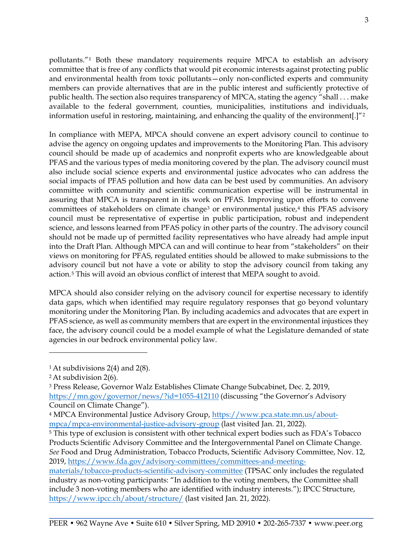pollutants."[1](#page-2-0) Both these mandatory requirements require MPCA to establish an advisory committee that is free of any conflicts that would pit economic interests against protecting public and environmental health from toxic pollutants—only non-conflicted experts and community members can provide alternatives that are in the public interest and sufficiently protective of public health. The section also requires transparency of MPCA, stating the agency "shall . . . make available to the federal government, counties, municipalities, institutions and individuals, information useful in restoring, maintaining, and enhancing the quality of the environment[.]"<sup>[2](#page-2-1)</sup>

In compliance with MEPA, MPCA should convene an expert advisory council to continue to advise the agency on ongoing updates and improvements to the Monitoring Plan. This advisory council should be made up of academics and nonprofit experts who are knowledgeable about PFAS and the various types of media monitoring covered by the plan. The advisory council must also include social science experts and environmental justice advocates who can address the social impacts of PFAS pollution and how data can be best used by communities. An advisory committee with community and scientific communication expertise will be instrumental in assuring that MPCA is transparent in its work on PFAS. Improving upon efforts to convene committees of stakeholders on climate change<sup>[3](#page-2-2)</sup> or environmental justice,<sup>[4](#page-2-3)</sup> this PFAS advisory council must be representative of expertise in public participation, robust and independent science, and lessons learned from PFAS policy in other parts of the country. The advisory council should not be made up of permitted facility representatives who have already had ample input into the Draft Plan. Although MPCA can and will continue to hear from "stakeholders" on their views on monitoring for PFAS, regulated entities should be allowed to make submissions to the advisory council but not have a vote or ability to stop the advisory council from taking any action.[5](#page-2-4) This will avoid an obvious conflict of interest that MEPA sought to avoid.

MPCA should also consider relying on the advisory council for expertise necessary to identify data gaps, which when identified may require regulatory responses that go beyond voluntary monitoring under the Monitoring Plan. By including academics and advocates that are expert in PFAS science, as well as community members that are expert in the environmental injustices they face, the advisory council could be a model example of what the Legislature demanded of state agencies in our bedrock environmental policy law.

<span id="page-2-0"></span><sup>&</sup>lt;sup>1</sup> At subdivisions 2(4) and 2(8).

<span id="page-2-1"></span><sup>2</sup> At subdivision 2(6).

<span id="page-2-2"></span><sup>3</sup> Press Release, Governor Walz Establishes Climate Change Subcabinet, Dec. 2, 2019, <https://mn.gov/governor/news/?id=1055-412110> (discussing "the Governor's Advisory Council on Climate Change").

<span id="page-2-3"></span><sup>4</sup> MPCA Environmental Justice Advisory Group, [https://www.pca.state.mn.us/about](https://www.pca.state.mn.us/about-mpca/mpca-environmental-justice-advisory-group)[mpca/mpca-environmental-justice-advisory-group](https://www.pca.state.mn.us/about-mpca/mpca-environmental-justice-advisory-group) (last visited Jan. 21, 2022).

<span id="page-2-4"></span><sup>5</sup> This type of exclusion is consistent with other technical expert bodies such as FDA's Tobacco Products Scientific Advisory Committee and the Intergovernmental Panel on Climate Change. *See* Food and Drug Administration, Tobacco Products, Scientific Advisory Committee, Nov. 12, 2019, [https://www.fda.gov/advisory-committees/committees-and-meeting-](https://www.fda.gov/advisory-committees/committees-and-meeting-materials/tobacco-products-scientific-advisory-committee)

[materials/tobacco-products-scientific-advisory-committee](https://www.fda.gov/advisory-committees/committees-and-meeting-materials/tobacco-products-scientific-advisory-committee) (TPSAC only includes the regulated industry as non-voting participants: "In addition to the voting members, the Committee shall include 3 non-voting members who are identified with industry interests."); IPCC Structure, <https://www.ipcc.ch/about/structure/> (last visited Jan. 21, 2022).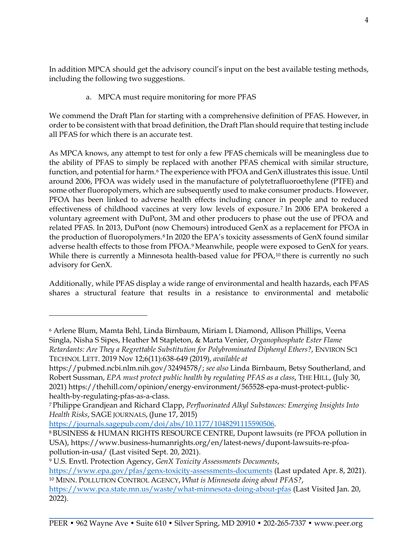In addition MPCA should get the advisory council's input on the best available testing methods, including the following two suggestions.

# a. MPCA must require monitoring for more PFAS

We commend the Draft Plan for starting with a comprehensive definition of PFAS. However, in order to be consistent with that broad definition, the Draft Plan should require that testing include all PFAS for which there is an accurate test.

As MPCA knows, any attempt to test for only a few PFAS chemicals will be meaningless due to the ability of PFAS to simply be replaced with another PFAS chemical with similar structure, function, and potential for harm.<sup>[6](#page-3-0)</sup> The experience with PFOA and GenX illustrates this issue. Until around 2006, PFOA was widely used in the manufacture of polytetrafluoroethylene (PTFE) and some other fluoropolymers, which are subsequently used to make consumer products. However, PFOA has been linked to adverse health effects including cancer in people and to reduced effectiveness of childhood vaccines at very low levels of exposure.[7](#page-3-1) In 2006 EPA brokered a voluntary agreement with DuPont, 3M and other producers to phase out the use of PFOA and related PFAS. In 2013, DuPont (now Chemours) introduced GenX as a replacement for PFOA in the production of fluoropolymers.[8](#page-3-2) In 2020 the EPA's toxicity assessments of GenX found similar adverse health effects to those from PFOA.<sup>[9](#page-3-3)</sup> Meanwhile, people were exposed to GenX for years. While there is currently a Minnesota health-based value for PFOA,<sup>[10](#page-3-4)</sup> there is currently no such advisory for GenX.

Additionally, while PFAS display a wide range of environmental and health hazards, each PFAS shares a structural feature that results in a resistance to environmental and metabolic

[https://journals.sagepub.com/doi/abs/10.1177/1048291115590506.](https://journals.sagepub.com/doi/abs/10.1177/1048291115590506)

<span id="page-3-0"></span><sup>6</sup> Arlene Blum, Mamta Behl, Linda Birnbaum, Miriam L Diamond, Allison Phillips, Veena Singla, Nisha S Sipes, Heather M Stapleton, & Marta Venier, *Organophosphate Ester Flame Retardants: Are They a Regrettable Substitution for Polybrominated Diphenyl Ethers?*, ENVIRON SCI TECHNOL LETT. 2019 Nov 12;6(11):638-649 (2019), *available at*

[https://pubmed.ncbi.nlm.nih.gov/32494578/;](https://pubmed.ncbi.nlm.nih.gov/32494578/) *see also* Linda Birnbaum, Betsy Southerland, and Robert Sussman, *EPA must protect public health by regulating PFAS as a class*, THE HILL, (July 30, 2021) [https://thehill.com/opinion/energy-environment/565528-epa-must-protect-public](https://thehill.com/opinion/energy-environment/565528-epa-must-protect-public-health-by-regulating-pfas-as-a-class)[health-by-regulating-pfas-as-a-class.](https://thehill.com/opinion/energy-environment/565528-epa-must-protect-public-health-by-regulating-pfas-as-a-class)

<span id="page-3-1"></span><sup>7</sup> Philippe Grandjean and Richard Clapp, *Perfluorinated Alkyl Substances: Emerging Insights Into Health Risks*, SAGE JOURNALS, (June 17, 2015)

<span id="page-3-2"></span><sup>8</sup> BUSINESS & HUMAN RIGHTS RESOURCE CENTRE, Dupont lawsuits (re PFOA pollution in USA), https://www.business-humanrights.org/en/latest-news/dupont-lawsuits-re-pfoapollution-in-usa/ (Last visited Sept. 20, 2021).

<span id="page-3-3"></span><sup>9</sup> U.S. Envtl. Protection Agency, *GenX Toxicity Assessments Documents*,

<span id="page-3-4"></span><https://www.epa.gov/pfas/genx-toxicity-assessments-documents> (Last updated Apr. 8, 2021). <sup>10</sup> MINN. POLLUTION CONTROL AGENCY, *What is Minnesota doing about PFAS?*, <https://www.pca.state.mn.us/waste/what-minnesota-doing-about-pfas> (Last Visited Jan. 20,

<sup>2022).</sup>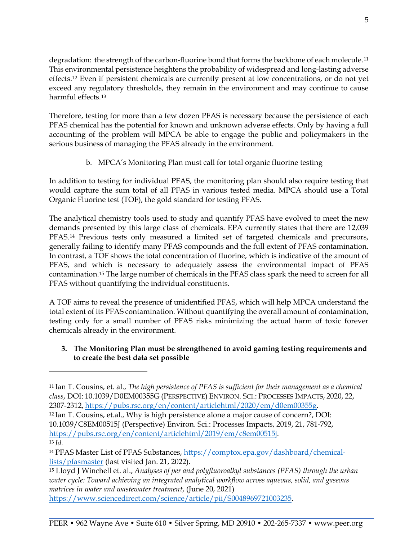degradation: the strength of the carbon-fluorine bond that forms the backbone of each molecule.<sup>[11](#page-4-0)</sup> This environmental persistence heightens the probability of widespread and long-lasting adverse effects.[12](#page-4-1) Even if persistent chemicals are currently present at low concentrations, or do not yet exceed any regulatory thresholds, they remain in the environment and may continue to cause harmful effects.[13](#page-4-2)

Therefore, testing for more than a few dozen PFAS is necessary because the persistence of each PFAS chemical has the potential for known and unknown adverse effects. Only by having a full accounting of the problem will MPCA be able to engage the public and policymakers in the serious business of managing the PFAS already in the environment.

b. MPCA's Monitoring Plan must call for total organic fluorine testing

In addition to testing for individual PFAS, the monitoring plan should also require testing that would capture the sum total of all PFAS in various tested media. MPCA should use a Total Organic Fluorine test (TOF), the gold standard for testing PFAS.

The analytical chemistry tools used to study and quantify PFAS have evolved to meet the new demands presented by this large class of chemicals. EPA currently states that there are 12,039 PFAS.<sup>[14](#page-4-3)</sup> Previous tests only measured a limited set of targeted chemicals and precursors, generally failing to identify many PFAS compounds and the full extent of PFAS contamination. In contrast, a TOF shows the total concentration of fluorine, which is indicative of the amount of PFAS, and which is necessary to adequately assess the environmental impact of PFAS contamination.[15](#page-4-4) The large number of chemicals in the PFAS class spark the need to screen for all PFAS without quantifying the individual constituents.

A TOF aims to reveal the presence of unidentified PFAS, which will help MPCA understand the total extent of its PFAS contamination. Without quantifying the overall amount of contamination, testing only for a small number of PFAS risks minimizing the actual harm of toxic forever chemicals already in the environment.

### **3. The Monitoring Plan must be strengthened to avoid gaming testing requirements and to create the best data set possible**

<span id="page-4-0"></span><sup>11</sup> Ian T. Cousins, et. al., *The high persistence of PFAS is sufficient for their management as a chemical class*, DOI: 10.1039/D0EM00355G (PERSPECTIVE) ENVIRON. SCI.: PROCESSES IMPACTS, 2020, 22, 2307-2312, [https://pubs.rsc.org/en/content/articlehtml/2020/em/d0em00355g.](https://pubs.rsc.org/en/content/articlehtml/2020/em/d0em00355g)

<span id="page-4-1"></span><sup>12</sup> Ian T. Cousins, et.al., Why is high persistence alone a major cause of concern?, DOI: 10.1039/C8EM00515J (Perspective) Environ. Sci.: Processes Impacts, 2019, 21, 781-792, [https://pubs.rsc.org/en/content/articlehtml/2019/em/c8em00515j.](https://pubs.rsc.org/en/content/articlehtml/2019/em/c8em00515j) <sup>13</sup> *Id.* 

<span id="page-4-3"></span><span id="page-4-2"></span><sup>14</sup> PFAS Master List of PFAS Substances, [https://comptox.epa.gov/dashboard/chemical](https://comptox.epa.gov/dashboard/chemical-lists/pfasmaster)[lists/pfasmaster](https://comptox.epa.gov/dashboard/chemical-lists/pfasmaster) (last visited Jan. 21, 2022).

<span id="page-4-4"></span><sup>15</sup> Lloyd J Winchell et. al., *Analyses of per and polyfluoroalkyl substances (PFAS) through the urban water cycle: Toward achieving an integrated analytical workflow across aqueous, solid, and gaseous matrices in water and wastewater treatment*, (June 20, 2021) [https://www.sciencedirect.com/science/article/pii/S0048969721003235.](https://www.sciencedirect.com/science/article/pii/S0048969721003235)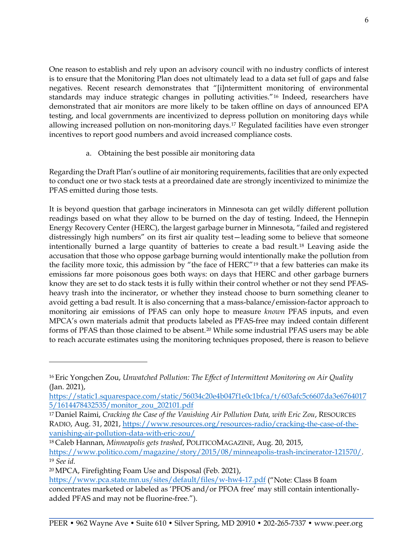One reason to establish and rely upon an advisory council with no industry conflicts of interest is to ensure that the Monitoring Plan does not ultimately lead to a data set full of gaps and false negatives. Recent research demonstrates that "[i]ntermittent monitoring of environmental standards may induce strategic changes in polluting activities."[16](#page-5-0) Indeed, researchers have demonstrated that air monitors are more likely to be taken offline on days of announced EPA testing, and local governments are incentivized to depress pollution on monitoring days while allowing increased pollution on non-monitoring days.[17](#page-5-1) Regulated facilities have even stronger incentives to report good numbers and avoid increased compliance costs.

a. Obtaining the best possible air monitoring data

Regarding the Draft Plan's outline of air monitoring requirements, facilities that are only expected to conduct one or two stack tests at a preordained date are strongly incentivized to minimize the PFAS emitted during those tests.

It is beyond question that garbage incinerators in Minnesota can get wildly different pollution readings based on what they allow to be burned on the day of testing. Indeed, the Hennepin Energy Recovery Center (HERC), the largest garbage burner in Minnesota, "failed and registered distressingly high numbers" on its first air quality test—leading some to believe that someone intentionally burned a large quantity of batteries to create a bad result.[18](#page-5-2) Leaving aside the accusation that those who oppose garbage burning would intentionally make the pollution from the facility more toxic, this admission by "the face of HERC"[19](#page-5-3) that a few batteries can make its emissions far more poisonous goes both ways: on days that HERC and other garbage burners know they are set to do stack tests it is fully within their control whether or not they send PFASheavy trash into the incinerator, or whether they instead choose to burn something cleaner to avoid getting a bad result. It is also concerning that a mass-balance/emission-factor approach to monitoring air emissions of PFAS can only hope to measure *known* PFAS inputs, and even MPCA's own materials admit that products labeled as PFAS-free may indeed contain different forms of PFAS than those claimed to be absent.[20](#page-5-4) While some industrial PFAS users may be able to reach accurate estimates using the monitoring techniques proposed, there is reason to believe

<span id="page-5-2"></span><sup>18</sup> Caleb Hannan, *Minneapolis gets trashed*, POLITICOMAGAZINE, Aug. 20, 2015, [https://www.politico.com/magazine/story/2015/08/minneapolis-trash-incinerator-121570/.](https://www.politico.com/magazine/story/2015/08/minneapolis-trash-incinerator-121570/) <sup>19</sup> *See id.* 

<span id="page-5-0"></span><sup>16</sup> Eric Yongchen Zou, *Unwatched Pollution: The Effect of Intermittent Monitoring on Air Quality* (Jan. 2021),

[https://static1.squarespace.com/static/56034c20e4b047f1e0c1bfca/t/603afc5c6607da3e6764017](https://static1.squarespace.com/static/56034c20e4b047f1e0c1bfca/t/603afc5c6607da3e67640175/1614478432535/monitor_zou_202101.pdf) [5/1614478432535/monitor\\_zou\\_202101.pdf](https://static1.squarespace.com/static/56034c20e4b047f1e0c1bfca/t/603afc5c6607da3e67640175/1614478432535/monitor_zou_202101.pdf)

<span id="page-5-1"></span><sup>17</sup> Daniel Raimi, *Cracking the Case of the Vanishing Air Pollution Data, with Eric Zou*, RESOURCES RADIO, Aug. 31, 2021, [https://www.resources.org/resources-radio/cracking-the-case-of-the](https://www.resources.org/resources-radio/cracking-the-case-of-the-vanishing-air-pollution-data-with-eric-zou/)[vanishing-air-pollution-data-with-eric-zou/](https://www.resources.org/resources-radio/cracking-the-case-of-the-vanishing-air-pollution-data-with-eric-zou/)

<span id="page-5-4"></span><span id="page-5-3"></span><sup>20</sup> MPCA, Firefighting Foam Use and Disposal (Feb. 2021),

<https://www.pca.state.mn.us/sites/default/files/w-hw4-17.pdf> ("Note: Class B foam concentrates marketed or labeled as 'PFOS and/or PFOA free' may still contain intentionallyadded PFAS and may not be fluorine-free.").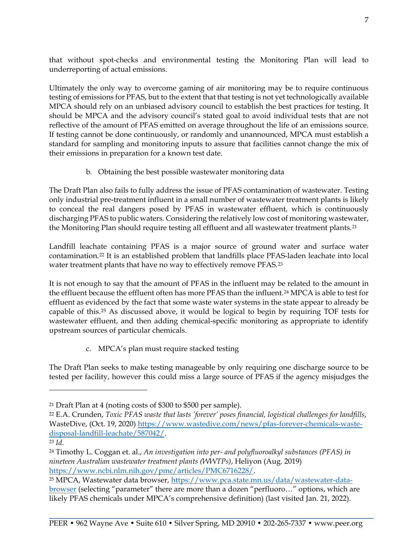that without spot-checks and environmental testing the Monitoring Plan will lead to underreporting of actual emissions.

Ultimately the only way to overcome gaming of air monitoring may be to require continuous testing of emissions for PFAS, but to the extent that that testing is not yet technologically available MPCA should rely on an unbiased advisory council to establish the best practices for testing. It should be MPCA and the advisory council's stated goal to avoid individual tests that are not reflective of the amount of PFAS emitted on average throughout the life of an emissions source. If testing cannot be done continuously, or randomly and unannounced, MPCA must establish a standard for sampling and monitoring inputs to assure that facilities cannot change the mix of their emissions in preparation for a known test date.

b. Obtaining the best possible wastewater monitoring data

The Draft Plan also fails to fully address the issue of PFAS contamination of wastewater. Testing only industrial pre-treatment influent in a small number of wastewater treatment plants is likely to conceal the real dangers posed by PFAS in wastewater effluent, which is continuously discharging PFAS to public waters. Considering the relatively low cost of monitoring wastewater, the Monitoring Plan should require testing all effluent and all wastewater treatment plants.<sup>[21](#page-6-0)</sup>

Landfill leachate containing PFAS is a major source of ground water and surface water contamination.[22](#page-6-1) It is an established problem that landfills place PFAS-laden leachate into local water treatment plants that have no way to effectively remove PFAS.[23](#page-6-2)

It is not enough to say that the amount of PFAS in the influent may be related to the amount in the effluent because the effluent often has more PFAS than the influent.[24](#page-6-3) MPCA is able to test for effluent as evidenced by the fact that some waste water systems in the state appear to already be capable of this.[25](#page-6-4) As discussed above, it would be logical to begin by requiring TOF tests for wastewater effluent, and then adding chemical-specific monitoring as appropriate to identify upstream sources of particular chemicals.

c. MPCA's plan must require stacked testing

The Draft Plan seeks to make testing manageable by only requiring one discharge source to be tested per facility, however this could miss a large source of PFAS if the agency misjudges the

<span id="page-6-0"></span><sup>21</sup> Draft Plan at 4 (noting costs of \$300 to \$500 per sample).

<span id="page-6-1"></span><sup>22</sup> E.A. Crunden, *Toxic PFAS waste that lasts 'forever' poses financial, logistical challenges for landfills*, WasteDive, (Oct. 19, 2020) [https://www.wastedive.com/news/pfas-forever-chemicals-waste](https://www.wastedive.com/news/pfas-forever-chemicals-waste-disposal-landfill-leachate/587042/)[disposal-landfill-leachate/587042/.](https://www.wastedive.com/news/pfas-forever-chemicals-waste-disposal-landfill-leachate/587042/)

<span id="page-6-2"></span><sup>23</sup> *Id.*

<span id="page-6-3"></span><sup>24</sup> Timothy L. Coggan et. al., *An investigation into per- and polyfluoroalkyl substances (PFAS) in nineteen Australian wastewater treatment plants (WWTPs)*, Heliyon (Aug. 2019) [https://www.ncbi.nlm.nih.gov/pmc/articles/PMC6716228/.](https://www.ncbi.nlm.nih.gov/pmc/articles/PMC6716228/)

<span id="page-6-4"></span><sup>25</sup> MPCA, Wastewater data browser[, https://www.pca.state.mn.us/data/wastewater-data](https://www.pca.state.mn.us/data/wastewater-data-browser)[browser](https://www.pca.state.mn.us/data/wastewater-data-browser) (selecting "parameter" there are more than a dozen "perfluoro…" options, which are likely PFAS chemicals under MPCA's comprehensive definition) (last visited Jan. 21, 2022).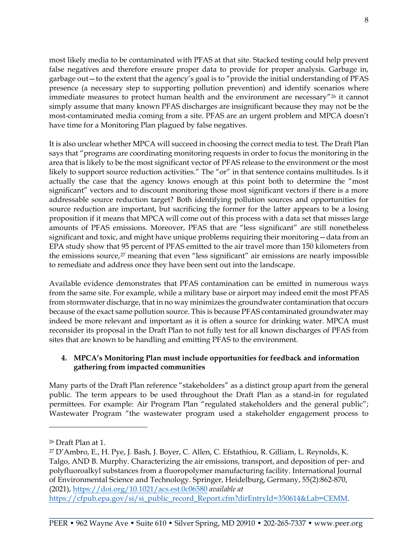most likely media to be contaminated with PFAS at that site. Stacked testing could help prevent false negatives and therefore ensure proper data to provide for proper analysis. Garbage in, garbage out—to the extent that the agency's goal is to "provide the initial understanding of PFAS presence (a necessary step to supporting pollution prevention) and identify scenarios where immediate measures to protect human health and the environment are necessary"[26](#page-7-0) it cannot simply assume that many known PFAS discharges are insignificant because they may not be the most-contaminated media coming from a site. PFAS are an urgent problem and MPCA doesn't have time for a Monitoring Plan plagued by false negatives.

It is also unclear whether MPCA will succeed in choosing the correct media to test. The Draft Plan says that "programs are coordinating monitoring requests in order to focus the monitoring in the area that is likely to be the most significant vector of PFAS release to the environment or the most likely to support source reduction activities." The "or" in that sentence contains multitudes. Is it actually the case that the agency knows enough at this point both to determine the "most significant" vectors and to discount monitoring those most significant vectors if there is a more addressable source reduction target? Both identifying pollution sources and opportunities for source reduction are important, but sacrificing the former for the latter appears to be a losing proposition if it means that MPCA will come out of this process with a data set that misses large amounts of PFAS emissions. Moreover, PFAS that are "less significant" are still nonetheless significant and toxic, and might have unique problems requiring their monitoring—data from an EPA study show that 95 percent of PFAS emitted to the air travel more than 150 kilometers from the emissions source,[27](#page-7-1) meaning that even "less significant" air emissions are nearly impossible to remediate and address once they have been sent out into the landscape.

Available evidence demonstrates that PFAS contamination can be emitted in numerous ways from the same site. For example, while a military base or airport may indeed emit the most PFAS from stormwater discharge, that in no way minimizes the groundwater contamination that occurs because of the exact same pollution source. This is because PFAS contaminated groundwater may indeed be more relevant and important as it is often a source for drinking water. MPCA must reconsider its proposal in the Draft Plan to not fully test for all known discharges of PFAS from sites that are known to be handling and emitting PFAS to the environment.

## **4. MPCA's Monitoring Plan must include opportunities for feedback and information gathering from impacted communities**

Many parts of the Draft Plan reference "stakeholders" as a distinct group apart from the general public. The term appears to be used throughout the Draft Plan as a stand-in for regulated permittees. For example: Air Program Plan "regulated stakeholders and the general public"; Wastewater Program "the wastewater program used a stakeholder engagement process to

<span id="page-7-0"></span><sup>26</sup> Draft Plan at 1.

<span id="page-7-1"></span><sup>27</sup> D'Ambro, E., H. Pye, J. Bash, J. Boyer, C. Allen, C. Efstathiou, R. Gilliam, L. Reynolds, K. Talgo, AND B. Murphy. Characterizing the air emissions, transport, and deposition of per- and polyfluoroalkyl substances from a fluoropolymer manufacturing facility. International Journal of Environmental Science and Technology. Springer, Heidelburg, Germany, 55(2):862-870, (2021), <https://doi.org/10.1021/acs.est.0c06580> *available at* 

[https://cfpub.epa.gov/si/si\\_public\\_record\\_Report.cfm?dirEntryId=350614&Lab=CEMM.](https://cfpub.epa.gov/si/si_public_record_Report.cfm?dirEntryId=350614&Lab=CEMM)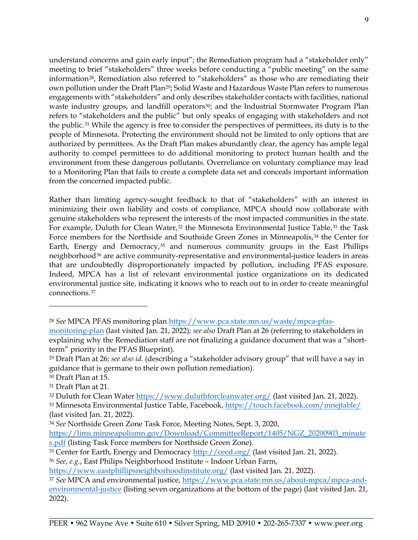understand concerns and gain early input"; the Remediation program had a "stakeholder only" meeting to brief "stakeholders" three weeks before conducting a "public meeting" on the same information[28,](#page-8-0) Remediation also referred to "stakeholders" as those who are remediating their own pollution under the Draft Plan<sup>29</sup>; Solid Waste and Hazardous Waste Plan refers to numerous engagements with "stakeholders" and only describes stakeholder contacts with facilities, national waste industry groups, and landfill operators<sup>[30](#page-8-2)</sup>; and the Industrial Stormwater Program Plan refers to "stakeholders and the public" but only speaks of engaging with stakeholders and not the public.[31](#page-8-3) While the agency is free to consider the perspectives of permittees, its duty is to the people of Minnesota. Protecting the environment should not be limited to only options that are authorized by permittees. As the Draft Plan makes abundantly clear, the agency has ample legal authority to compel permittees to do additional monitoring to protect human health and the environment from these dangerous pollutants. Overreliance on voluntary compliance may lead to a Monitoring Plan that fails to create a complete data set and conceals important information from the concerned impacted public.

Rather than limiting agency-sought feedback to that of "stakeholders" with an interest in minimizing their own liability and costs of compliance, MPCA should now collaborate with genuine stakeholders who represent the interests of the most impacted communities in the state. For example, Duluth for Clean Water,<sup>[32](#page-8-4)</sup> the Minnesota Environmental Justice Table,<sup>[33](#page-8-5)</sup> the Task Force members for the Northside and Southside Green Zones in Minneapolis,<sup>[34](#page-8-6)</sup> the Center for Earth, Energy and Democracy,<sup>[35](#page-8-7)</sup> and numerous community groups in the East Phillips neighborhood<sup>[36](#page-8-8)</sup> are active community-representative and environmental-justice leaders in areas that are undoubtedly disproportionately impacted by pollution, including PFAS exposure. Indeed, MPCA has a list of relevant environmental justice organizations on its dedicated environmental justice site, indicating it knows who to reach out to in order to create meaningful connections.[37](#page-8-9)

<span id="page-8-0"></span><sup>28</sup> *See* MPCA PFAS monitoring plan [https://www.pca.state.mn.us/waste/mpca-pfas-](https://www.pca.state.mn.us/waste/mpca-pfas-monitoring-plan)

[monitoring-plan](https://www.pca.state.mn.us/waste/mpca-pfas-monitoring-plan) (last visited Jan. 21, 2022); *see also* Draft Plan at 26 (referring to stakeholders in explaining why the Remediation staff are not finalizing a guidance document that was a "shortterm" priority in the PFAS Blueprint).

<span id="page-8-1"></span><sup>29</sup> Draft Plan at 26; *see also id.* (describing a "stakeholder advisory group" that will have a say in guidance that is germane to their own pollution remediation).

<span id="page-8-2"></span><sup>30</sup> Draft Plan at 15.

<span id="page-8-3"></span><sup>31</sup> Draft Plan at 21.

<span id="page-8-4"></span><sup>32</sup> Duluth for Clean Water <https://www.duluthforcleanwater.org/> (last visited Jan. 21, 2022).

<span id="page-8-5"></span><sup>33</sup> Minnesota Environmental Justice Table, Facebook,<https://touch.facebook.com/mnejtable/> (last visited Jan. 21, 2022).

<span id="page-8-6"></span><sup>34</sup> *See* Northside Green Zone Task Force, Meeting Notes, Sept. 3, 2020,

[https://lims.minneapolismn.gov/Download/CommitteeReport/1405/NGZ\\_20200903\\_minute](https://lims.minneapolismn.gov/Download/CommitteeReport/1405/NGZ_20200903_minutes.pdf) [s.pdf](https://lims.minneapolismn.gov/Download/CommitteeReport/1405/NGZ_20200903_minutes.pdf) (listing Task Force members for Northside Green Zone).

<span id="page-8-7"></span><sup>35</sup> Center for Earth, Energy and Democracy<http://ceed.org/> (last visited Jan. 21, 2022).

<span id="page-8-8"></span><sup>36</sup> *See*, *e.g.*, East Philips Neighborhood Institute – Indoor Urban Farm,

<https://www.eastphillipsneighborhoodinstitute.org/> (last visited Jan. 21, 2022).

<span id="page-8-9"></span><sup>37</sup> *See* MPCA and environmental justice, [https://www.pca.state.mn.us/about-mpca/mpca-and](https://www.pca.state.mn.us/about-mpca/mpca-and-environmental-justice)[environmental-justice](https://www.pca.state.mn.us/about-mpca/mpca-and-environmental-justice) (listing seven organizations at the bottom of the page) (last visited Jan. 21, 2022).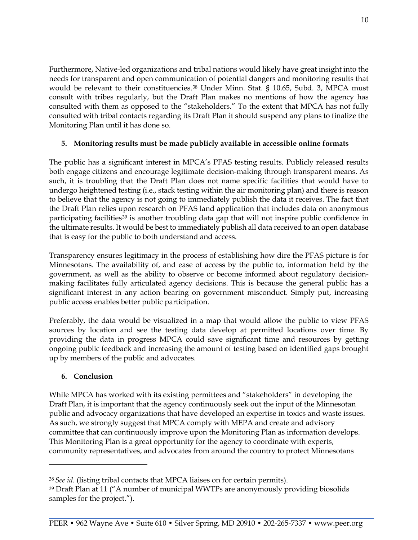Furthermore, Native-led organizations and tribal nations would likely have great insight into the needs for transparent and open communication of potential dangers and monitoring results that would be relevant to their constituencies.[38](#page-9-0) Under Minn. Stat. § 10.65, Subd. 3, MPCA must consult with tribes regularly, but the Draft Plan makes no mentions of how the agency has consulted with them as opposed to the "stakeholders." To the extent that MPCA has not fully consulted with tribal contacts regarding its Draft Plan it should suspend any plans to finalize the Monitoring Plan until it has done so.

## **5. Monitoring results must be made publicly available in accessible online formats**

The public has a significant interest in MPCA's PFAS testing results. Publicly released results both engage citizens and encourage legitimate decision-making through transparent means. As such, it is troubling that the Draft Plan does not name specific facilities that would have to undergo heightened testing (i.e., stack testing within the air monitoring plan) and there is reason to believe that the agency is not going to immediately publish the data it receives. The fact that the Draft Plan relies upon research on PFAS land application that includes data on anonymous participating facilities<sup>[39](#page-9-1)</sup> is another troubling data gap that will not inspire public confidence in the ultimate results. It would be best to immediately publish all data received to an open database that is easy for the public to both understand and access.

Transparency ensures legitimacy in the process of establishing how dire the PFAS picture is for Minnesotans. The availability of, and ease of access by the public to, information held by the government, as well as the ability to observe or become informed about regulatory decisionmaking facilitates fully articulated agency decisions. This is because the general public has a significant interest in any action bearing on government misconduct. Simply put, increasing public access enables better public participation.

Preferably, the data would be visualized in a map that would allow the public to view PFAS sources by location and see the testing data develop at permitted locations over time. By providing the data in progress MPCA could save significant time and resources by getting ongoing public feedback and increasing the amount of testing based on identified gaps brought up by members of the public and advocates.

## **6. Conclusion**

While MPCA has worked with its existing permittees and "stakeholders" in developing the Draft Plan, it is important that the agency continuously seek out the input of the Minnesotan public and advocacy organizations that have developed an expertise in toxics and waste issues. As such, we strongly suggest that MPCA comply with MEPA and create and advisory committee that can continuously improve upon the Monitoring Plan as information develops. This Monitoring Plan is a great opportunity for the agency to coordinate with experts, community representatives, and advocates from around the country to protect Minnesotans

<span id="page-9-0"></span><sup>38</sup> *See id.* (listing tribal contacts that MPCA liaises on for certain permits).

<span id="page-9-1"></span><sup>39</sup> Draft Plan at 11 ("A number of municipal WWTPs are anonymously providing biosolids samples for the project.").